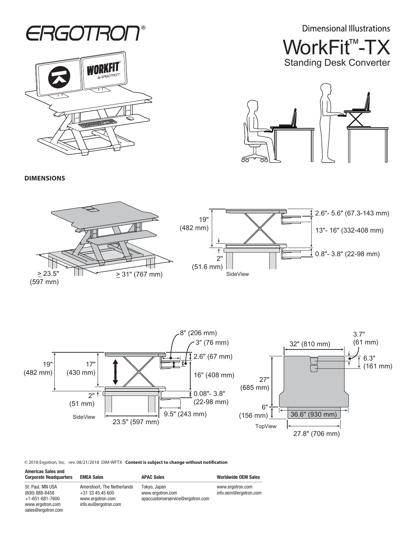Dimensional Illustrations





WorkFit<sup>™</sup>-TX Standing Desk Converter



**DIMENSIONS**

sales@ergotron.com





© 2018 Ergotron, Inc. rev. 08/21/2018 DIM-WFTX **Content is subject to change without notification**

| <b>Americas Sales and</b><br><b>Corporate Headquarters</b> | <b>EMEA Sales</b>                                                   | <b>APAC Sales</b>                                                    | <b>Worldwide OEM Sales</b>                |
|------------------------------------------------------------|---------------------------------------------------------------------|----------------------------------------------------------------------|-------------------------------------------|
| St. Paul. MN USA<br>(800) 888-8458<br>$+1-651-681-7600$    | Amersfoort. The Netherlands<br>+31 33 45 45 600<br>www.ergotron.com | Tokyo, Japan<br>www.ergotron.com<br>apaccustomerservice@ergotron.com | www.ergotron.com<br>info.oem@ergotron.com |
| www.ergotron.com                                           | info.eu@ergotron.com                                                |                                                                      |                                           |